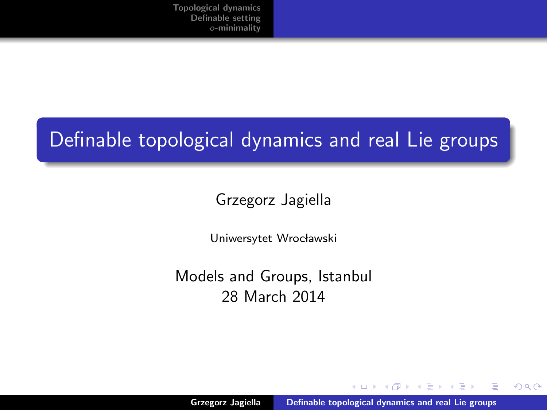# <span id="page-0-0"></span>Definable topological dynamics and real Lie groups

### Grzegorz Jagiella

Uniwersytet Wrocławski

Models and Groups, Istanbul 28 March 2014

 $4.17 \times$ 

 $\mathcal{A}$   $\mathcal{A}$   $\mathcal{B}$   $\mathcal{A}$   $\mathcal{B}$   $\mathcal{B}$ 

-4 E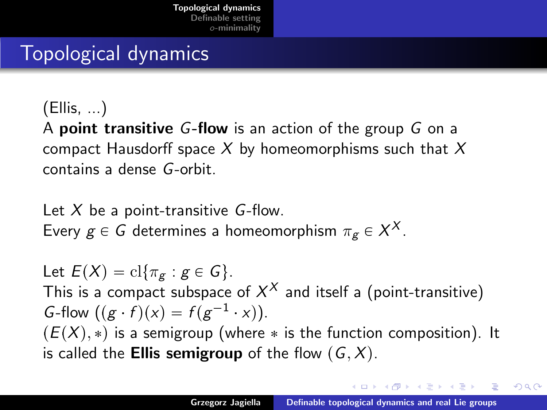# <span id="page-1-0"></span>Topological dynamics

(Ellis, ...)

A point transitive G-flow is an action of the group G on a compact Hausdorff space  $X$  by homeomorphisms such that  $X$ contains a dense G-orbit.

Let  $X$  be a point-transitive  $G$ -flow. Every  $g \in G$  determines a homeomorphism  $\pi_g \in X^X$ .

Let  $E(X) = \mathrm{cl}\{\pi_{\sigma} : g \in G\}.$ This is a compact subspace of  $X^X$  and itself a (point-transitive) G-flow  $((g \cdot f)(x) = f(g^{-1} \cdot x)).$  $(E(X), *)$  is a semigroup (where  $*$  is the function composition). It is called the **Ellis semigroup** of the flow  $(G, X)$ .

イロメ マ桐 メラミンマチャ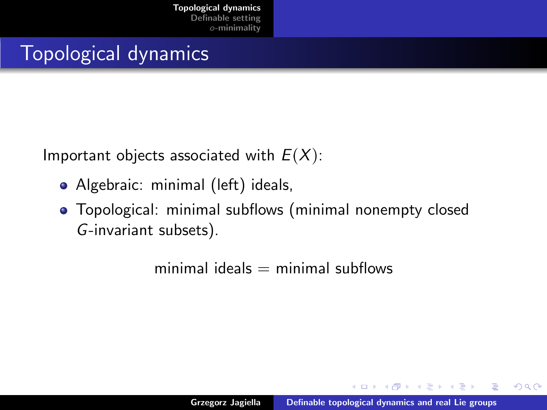# Topological dynamics

Important objects associated with  $E(X)$ :

- Algebraic: minimal (left) ideals,
- Topological: minimal subflows (minimal nonempty closed G-invariant subsets).

minimal ideals  $=$  minimal subflows

 $4.17 \times$ 

マーティ ミュマミン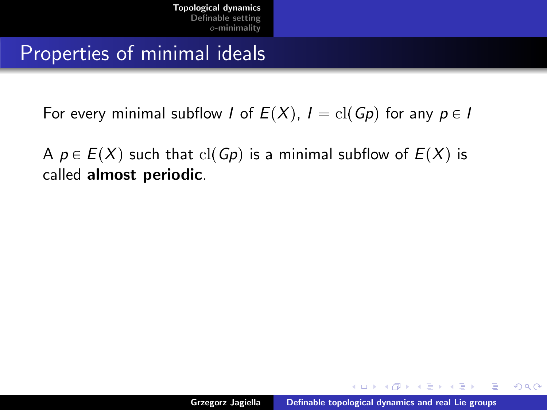## Properties of minimal ideals

For every minimal subflow I of  $E(X)$ ,  $I = \text{cl}(Gp)$  for any  $p \in I$ 

A  $p \in E(X)$  such that  $cl(Gp)$  is a minimal subflow of  $E(X)$  is called almost periodic.

K ロ ⊁ K 倒 ≯ K ミ ⊁ K ミ ⊁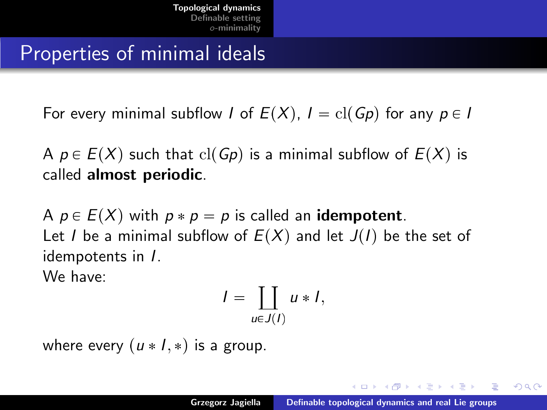## Properties of minimal ideals

For every minimal subflow I of  $E(X)$ ,  $I = \text{cl}(Gp)$  for any  $p \in I$ 

A  $p \in E(X)$  such that  $cl(Gp)$  is a minimal subflow of  $E(X)$  is called almost periodic.

A  $p \in E(X)$  with  $p * p = p$  is called an **idempotent**. Let I be a minimal subflow of  $E(X)$  and let  $J(I)$  be the set of idempotents in I.

We have:

$$
I = \coprod_{u \in J(I)} u * I,
$$

where every  $(u * I, *)$  is a group.

→ 伊 ▶ → ヨ ▶ → ヨ ▶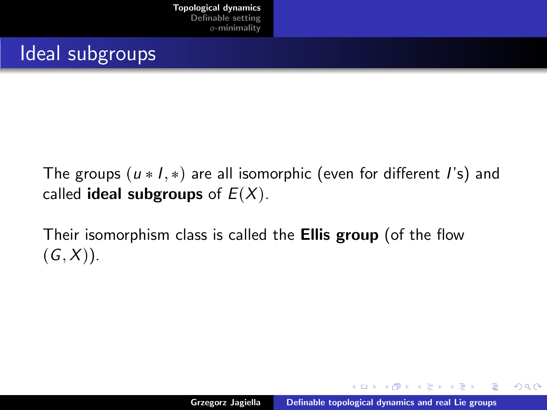## Ideal subgroups

The groups  $(u * I, *)$  are all isomorphic (even for different I's) and called **ideal subgroups** of  $E(X)$ .

Their isomorphism class is called the **Ellis group** (of the flow  $(G, X)$ ).

 $\leftarrow$   $\Box$ 

→ イ団 ト イ ヨ ト イ ヨ ト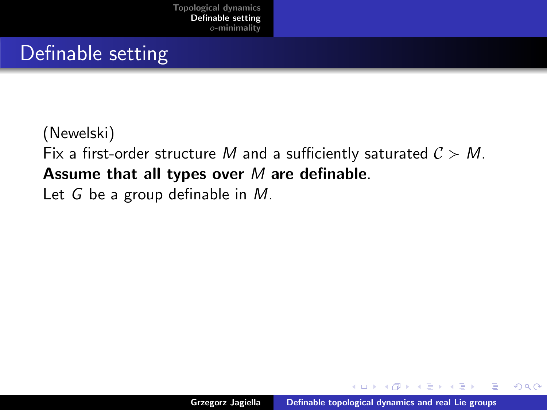## <span id="page-6-0"></span>Definable setting

### (Newelski) Fix a first-order structure M and a sufficiently saturated  $C > M$ . Assume that all types over  $M$  are definable. Let G be a group definable in M.

 $4.17 \times$ 

- イタト イラト イラト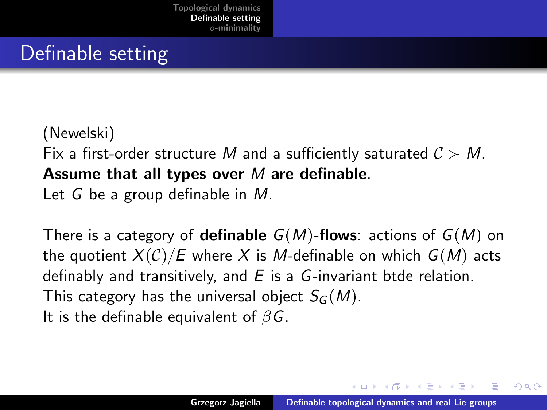## Definable setting

### (Newelski) Fix a first-order structure M and a sufficiently saturated  $C > M$ . Assume that all types over  $M$  are definable. Let G be a group definable in M.

There is a category of **definable**  $G(M)$ -flows: actions of  $G(M)$  on the quotient  $X(\mathcal{C})/E$  where X is M-definable on which  $G(M)$  acts definably and transitively, and  $E$  is a  $G$ -invariant btde relation. This category has the universal object  $S_G(M)$ . It is the definable equivalent of  $\beta G$ .

オタト オミト オミト

へのへ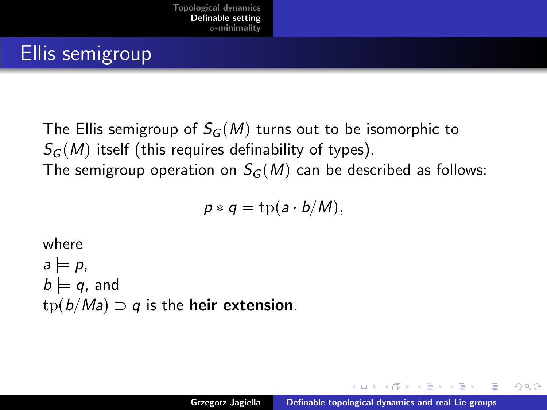# Ellis semigroup

The Ellis semigroup of  $S_G(M)$  turns out to be isomorphic to  $S_G(M)$  itself (this requires definability of types). The semigroup operation on  $S_G(M)$  can be described as follows:

$$
p * q = \text{tp}(a \cdot b/M),
$$

### where  $a = p$ ,  $b \models q$ , and  $tp(b/Ma) \supset q$  is the **heir extension**.

オタト オミト オミト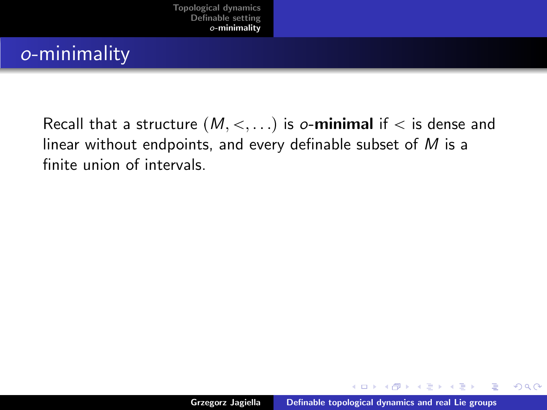## <span id="page-9-0"></span>o-minimality

Recall that a structure  $(M, <, \ldots)$  is o-minimal if  $<$  is dense and linear without endpoints, and every definable subset of  $M$  is a finite union of intervals.

 $4.17 \times$ 

マーティ ミュマミン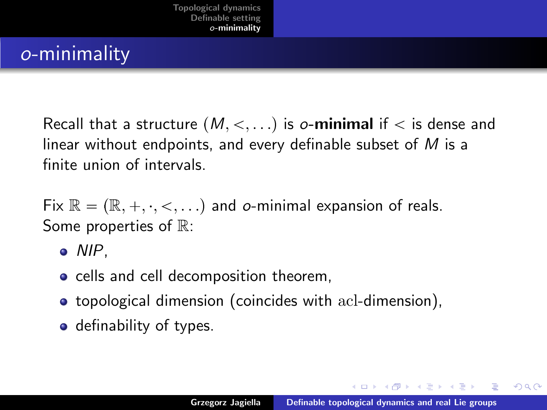## o-minimality

Recall that a structure  $(M, <, \ldots)$  is o-minimal if  $<$  is dense and linear without endpoints, and every definable subset of  $M$  is a finite union of intervals.

Fix  $\mathbb{R} = (\mathbb{R}, +, \cdot, <, \dots)$  and o-minimal expansion of reals. Some properties of  $\mathbb{R}$ :

- $\bullet$  NIP.
- cells and cell decomposition theorem,
- topological dimension (coincides with acl-dimension),
- definability of types.

イロメ マ桐 メラミンマチャ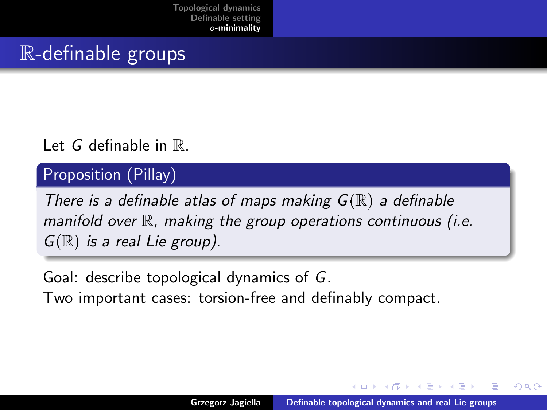[Topological dynamics](#page-1-0) [Definable setting](#page-6-0) o[-minimality](#page-9-0)

## R-definable groups

#### Let G definable in R.

#### Proposition (Pillay)

There is a definable atlas of maps making  $G(\mathbb{R})$  a definable manifold over  $\mathbb R$ , making the group operations continuous (i.e.  $G(\mathbb{R})$  is a real Lie group).

Goal: describe topological dynamics of G.

Two important cases: torsion-free and definably compact.

 $\mathcal{A}$  and  $\mathcal{A}$  . The set

へのへ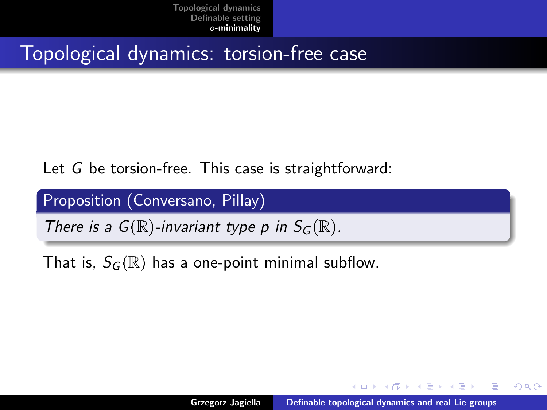## Topological dynamics: torsion-free case

Let G be torsion-free. This case is straightforward:

Proposition (Conversano, Pillay)

There is a  $G(\mathbb{R})$ -invariant type p in  $S_G(\mathbb{R})$ .

That is,  $S_G(\mathbb{R})$  has a one-point minimal subflow.

メタトメ ミトメ ミト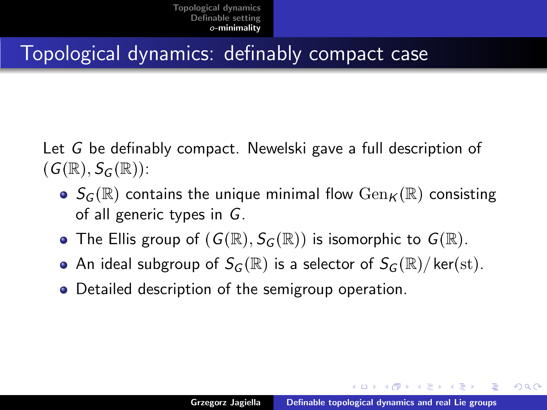## Topological dynamics: definably compact case

Let G be definably compact. Newelski gave a full description of  $(G(\mathbb{R}), S_G(\mathbb{R}))$ :

- $\bullet$   $S_G(\mathbb{R})$  contains the unique minimal flow  $Gen_K(\mathbb{R})$  consisting of all generic types in G.
- The Ellis group of  $(G(\mathbb{R}), S_G(\mathbb{R}))$  is isomorphic to  $G(\mathbb{R})$ .
- An ideal subgroup of  $S_G(\mathbb{R})$  is a selector of  $S_G(\mathbb{R})/$  ker(st).
- Detailed description of the semigroup operation.

イロメ マ桐 メラミンマチャ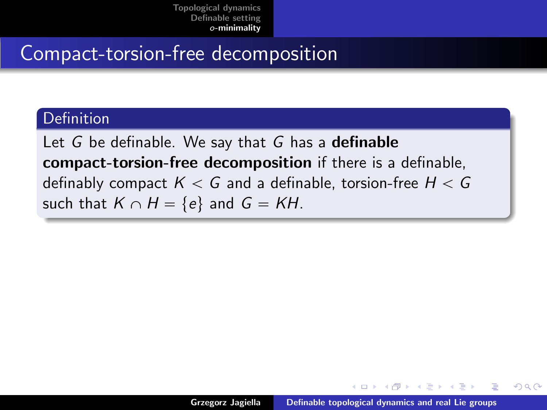## Compact-torsion-free decomposition

#### **Definition**

Let  $G$  be definable. We say that  $G$  has a **definable** compact-torsion-free decomposition if there is a definable, definably compact  $K < G$  and a definable, torsion-free  $H < G$ such that  $K \cap H = \{e\}$  and  $G = KH$ .

 $\leftarrow$   $\Box$ 

- オート オート オート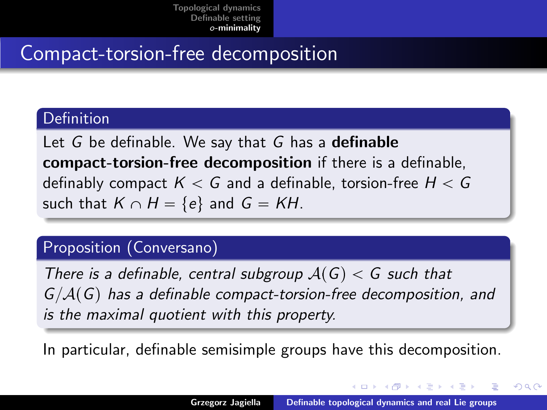# Compact-torsion-free decomposition

#### **Definition**

Let  $G$  be definable. We say that  $G$  has a **definable** compact-torsion-free decomposition if there is a definable, definably compact  $K < G$  and a definable, torsion-free  $H < G$ such that  $K \cap H = \{e\}$  and  $G = KH$ .

#### Proposition (Conversano)

There is a definable, central subgroup  $A(G) < G$  such that  $G/A(G)$  has a definable compact-torsion-free decomposition, and is the maximal quotient with this property.

In particular, definable semisimple groups have this decomposition.

K ロ ⊁ K 倒 ≯ K ミ ⊁ K ミ ⊁

へのへ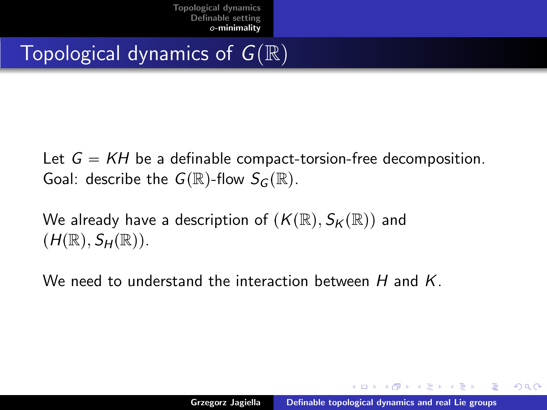# Topological dynamics of  $G(\mathbb{R})$

Let  $G = KH$  be a definable compact-torsion-free decomposition. Goal: describe the  $G(\mathbb{R})$ -flow  $S_G(\mathbb{R})$ .

We already have a description of  $(K(\mathbb{R}), S_K(\mathbb{R}))$  and  $(H(\mathbb{R}), S_H(\mathbb{R})).$ 

We need to understand the interaction between H and K.

メタトメ ミトメ ミト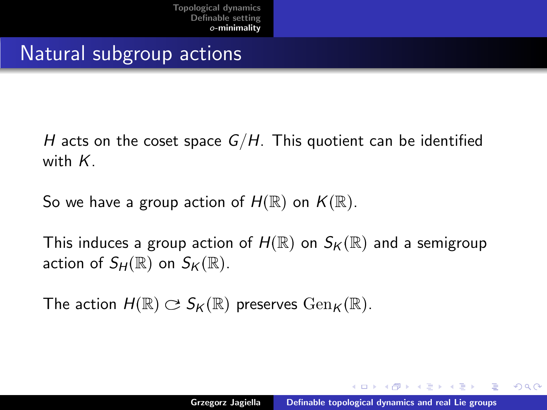## Natural subgroup actions

H acts on the coset space  $G/H$ . This quotient can be identified with K.

So we have a group action of  $H(\mathbb{R})$  on  $K(\mathbb{R})$ .

This induces a group action of  $H(\mathbb{R})$  on  $S_K(\mathbb{R})$  and a semigroup action of  $S_H(\mathbb{R})$  on  $S_K(\mathbb{R})$ .

The action  $H(\mathbb{R}) \subset S_K(\mathbb{R})$  preserves  $\text{Gen}_K(\mathbb{R})$ .

メタトメ ミトメ ミト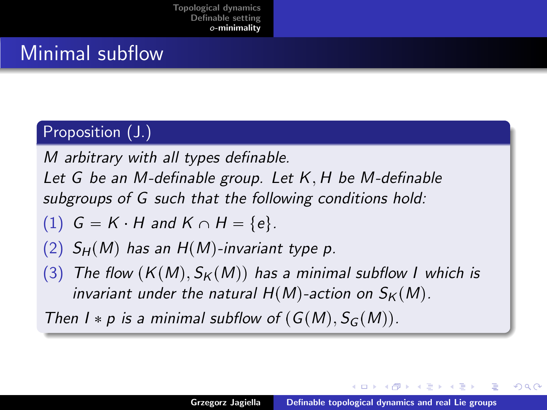## Minimal subflow

### Proposition (J.)

M arbitrary with all types definable.

Let G be an M-definable group. Let K, H be M-definable subgroups of G such that the following conditions hold:

(1) 
$$
G = K \cdot H \text{ and } K \cap H = \{e\}.
$$

- (2)  $S_H(M)$  has an  $H(M)$ -invariant type p.
- (3) The flow  $(K(M), S_K(M))$  has a minimal subflow I which is invariant under the natural  $H(M)$ -action on  $S_K(M)$ .

Then  $I * p$  is a minimal subflow of  $(G(M), S_G(M))$ .

- イタト イラト イラト

へのへ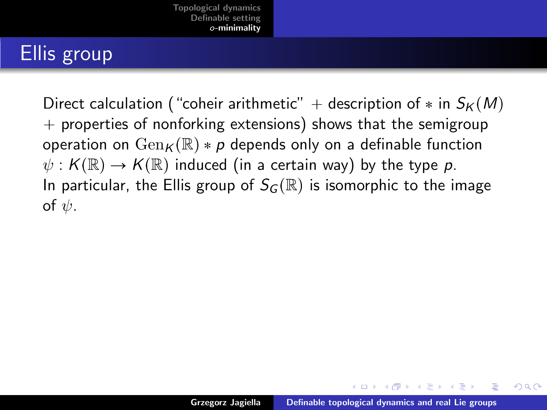# Ellis group

Direct calculation ("coheir arithmetic" + description of  $*$  in  $S_K(M)$  $+$  properties of nonforking extensions) shows that the semigroup operation on  $Gen_{K}(\mathbb{R}) * p$  depends only on a definable function  $\psi : K(\mathbb{R}) \to K(\mathbb{R})$  induced (in a certain way) by the type p. In particular, the Ellis group of  $S_G(\mathbb{R})$  is isomorphic to the image of  $\psi$ .

イロメ イタメ イラメ イラメ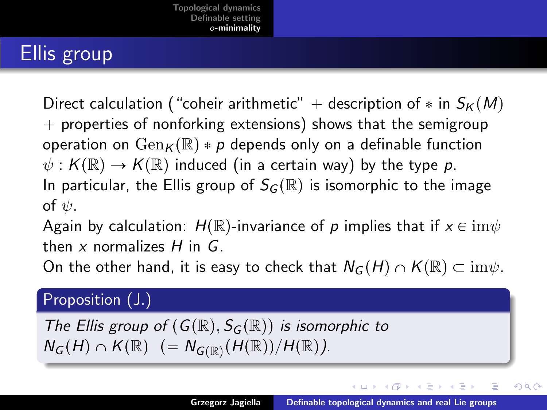# Ellis group

Direct calculation ("coheir arithmetic" + description of  $*$  in  $S_K(M)$  $+$  properties of nonforking extensions) shows that the semigroup operation on  $Gen_{K}(\mathbb{R}) * p$  depends only on a definable function  $\psi : K(\mathbb{R}) \to K(\mathbb{R})$  induced (in a certain way) by the type p. In particular, the Ellis group of  $S_G(\mathbb{R})$  is isomorphic to the image of  $\psi$ .

Again by calculation:  $H(\mathbb{R})$ -invariance of p implies that if  $x \in \text{im}\psi$ then x normalizes  $H$  in  $G$ .

On the other hand, it is easy to check that  $N_G(H) \cap K(\mathbb{R}) \subset \text{im}\psi$ .

#### Proposition (J.)

The Ellis group of  $(G(\mathbb{R}), S_G(\mathbb{R}))$  is isomorphic to  $N_G(H) \cap K(\mathbb{R})$  (=  $N_{G(\mathbb{R})}(H(\mathbb{R}))/H(\mathbb{R})$ ).

イロメ イタメ イラメイラメ

つへへ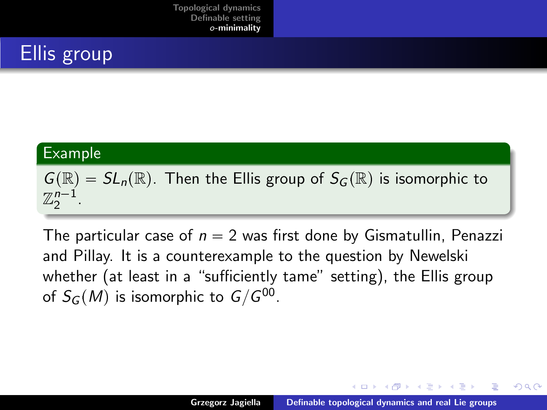

#### Example

 $G(\mathbb{R}) = SL_n(\mathbb{R})$ . Then the Ellis group of  $S_G(\mathbb{R})$  is isomorphic to  $\mathbb{Z}_2^{n-1}$ .

The particular case of  $n = 2$  was first done by Gismatullin, Penazzi and Pillay. It is a counterexample to the question by Newelski whether (at least in a "sufficiently tame" setting), the Ellis group of  $S_G(M)$  is isomorphic to  $G/G^{00}.$ 

マーター マーティング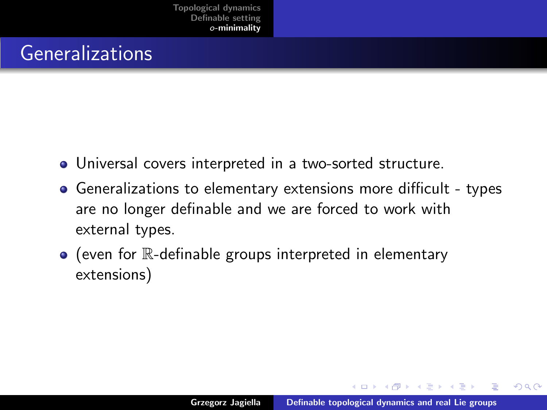## Generalizations

- Universal covers interpreted in a two-sorted structure.
- Generalizations to elementary extensions more difficult types are no longer definable and we are forced to work with external types.
- $\bullet$  (even for  $\mathbb R$ -definable groups interpreted in elementary extensions)

メタト メデト メデト